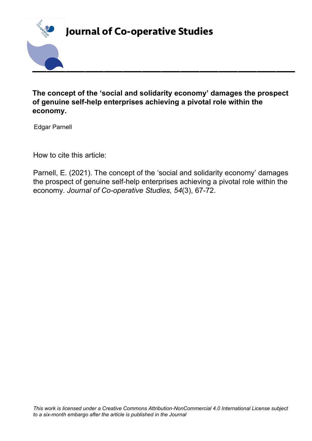

**The concept of the 'social and solidarity economy' damages the prospect of genuine self-help enterprises achieving a pivotal role within the economy.**

Edgar Parnell

How to cite this article:

Parnell, E. (2021). The concept of the 'social and solidarity economy' damages the prospect of genuine self-help enterprises achieving a pivotal role within the economy. *Journal of Co-operative Studies, 54*(3), 67-72.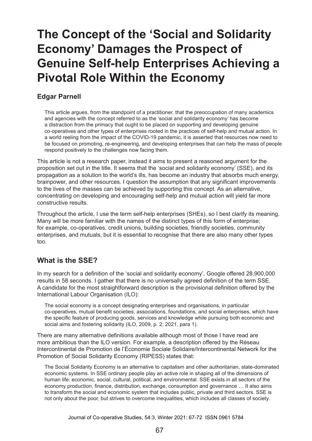# **The Concept of the 'Social and Solidarity Economy' Damages the Prospect of Genuine Self-help Enterprises Achieving a Pivotal Role Within the Economy**

#### **Edgar Parnell**

This article argues, from the standpoint of a practitioner, that the preoccupation of many academics and agencies with the concept referred to as the 'social and solidarity economy' has become a distraction from the primacy that ought to be placed on supporting and developing genuine co-operatives and other types of enterprises rooted in the practices of self-help and mutual action. In a world reeling from the impact of the COVID-19 pandemic, it is asserted that resources now need to be focused on promoting, re-engineering, and developing enterprises that can help the mass of people respond positively to the challenges now facing them.

This article is not a research paper, instead it aims to present a reasoned argument for the proposition set out in the title. It seems that the 'social and solidarity economy' (SSE), and its propagation as a solution to the world's ills, has become an industry that absorbs much energy, brainpower, and other resources. I question the assumption that any significant improvements to the lives of the masses can be achieved by supporting this concept. As an alternative, concentrating on developing and encouraging self-help and mutual action will yield far more constructive results.

Throughout the article, I use the term self-help enterprises (SHEs), so I best clarify its meaning. Many will be more familiar with the names of the distinct types of this form of enterprise; for example, co-operatives, credit unions, building societies, friendly societies, community enterprises, and mutuals, but it is essential to recognise that there are also many other types too.

# **What is the SSE?**

In my search for a definition of the 'social and solidarity economy', Google offered 28,900,000 results in 58 seconds. I gather that there is no universally agreed definition of the term SSE. A candidate for the most straightforward description is the provisional definition offered by the International Labour Organisation (ILO):

The social economy is a concept designating enterprises and organisations, in particular co‑operatives, mutual benefit societies, associations, foundations, and social enterprises, which have the specific feature of producing goods, services and knowledge while pursuing both economic and social aims and fostering solidarity (ILO, 2009, p. 2; 2021, para 1).

There are many alternative definitions available although most of those I have read are more ambitious than the ILO version. For example, a description offered by the Réseau Intercontinental de Promotion de l'Économie Sociale Solidaire/Intercontinental Network for the Promotion of Social Solidarity Economy (RIPESS) states that:

The Social Solidarity Economy is an alternative to capitalism and other authoritarian, state-dominated economic systems. In SSE ordinary people play an active role in shaping all of the dimensions of human life: economic, social, cultural, political, and environmental. SSE exists in all sectors of the economy production, finance, distribution, exchange, consumption and governance … It also aims to transform the social and economic system that includes public, private and third sectors. SSE is not only about the poor, but strives to overcome inequalities, which includes all classes of society.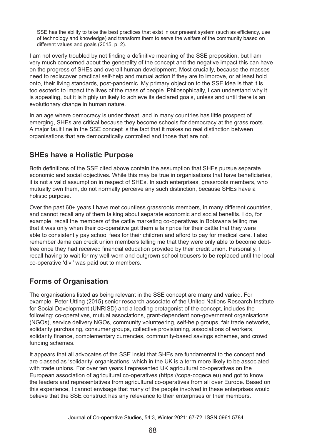SSE has the ability to take the best practices that exist in our present system (such as efficiency, use of technology and knowledge) and transform them to serve the welfare of the community based on different values and goals (2015, p. 2).

I am not overly troubled by not finding a definitive meaning of the SSE proposition, but I am very much concerned about the generality of the concept and the negative impact this can have on the progress of SHEs and overall human development. Most crucially, because the masses need to rediscover practical self-help and mutual action if they are to improve, or at least hold onto, their living standards, post-pandemic. My primary objection to the SSE idea is that it is too esoteric to impact the lives of the mass of people. Philosophically, I can understand why it is appealing, but it is highly unlikely to achieve its declared goals, unless and until there is an evolutionary change in human nature.

In an age where democracy is under threat, and in many countries has little prospect of emerging, SHEs are critical because they become schools for democracy at the grass roots. A major fault line in the SSE concept is the fact that it makes no real distinction between organisations that are democratically controlled and those that are not.

## **SHEs have a Holistic Purpose**

Both definitions of the SSE cited above contain the assumption that SHEs pursue separate economic and social objectives. While this may be true in organisations that have beneficiaries, it is not a valid assumption in respect of SHEs. In such enterprises, grassroots members, who mutually own them, do not normally perceive any such distinction, because SHEs have a holistic purpose.

Over the past 60+ years I have met countless grassroots members, in many different countries, and cannot recall any of them talking about separate economic and social benefits. I do, for example, recall the members of the cattle marketing co-operatives in Botswana telling me that it was only when their co-operative got them a fair price for their cattle that they were able to consistently pay school fees for their children and afford to pay for medical care. I also remember Jamaican credit union members telling me that they were only able to become debtfree once they had received financial education provided by their credit union. Personally, I recall having to wait for my well-worn and outgrown school trousers to be replaced until the local co-operative 'divi' was paid out to members.

# **Forms of Organisation**

The organisations listed as being relevant in the SSE concept are many and varied. For example, Peter Utting (2015) senior research associate of the United Nations Research Institute for Social Development (UNRISD) and a leading protagonist of the concept, includes the following: co-operatives, mutual associations, grant-dependent non-government organisations (NGOs), service delivery NGOs, community volunteering, self-help groups, fair trade networks, solidarity purchasing, consumer groups, collective provisioning, associations of workers, solidarity finance, complementary currencies, community-based savings schemes, and crowd funding schemes.

It appears that all advocates of the SSE insist that SHEs are fundamental to the concept and are classed as 'solidarity' organisations, which in the UK is a term more likely to be associated with trade unions. For over ten years I represented UK agricultural co-operatives on the European association of agricultural co-operatives (https://copa-cogeca.eu) and got to know the leaders and representatives from agricultural co-operatives from all over Europe. Based on this experience, I cannot envisage that many of the people involved in these enterprises would believe that the SSE construct has any relevance to their enterprises or their members.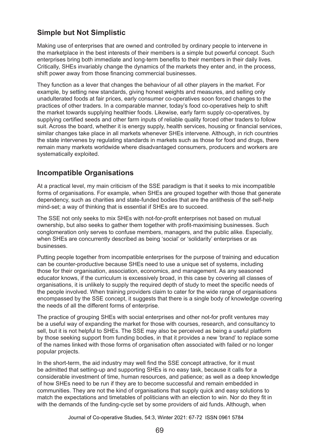# **Simple but Not Simplistic**

Making use of enterprises that are owned and controlled by ordinary people to intervene in the marketplace in the best interests of their members is a simple but powerful concept. Such enterprises bring both immediate and long-term benefits to their members in their daily lives. Critically, SHEs invariably change the dynamics of the markets they enter and, in the process, shift power away from those financing commercial businesses.

They function as a lever that changes the behaviour of all other players in the market. For example, by setting new standards, giving honest weights and measures, and selling only unadulterated foods at fair prices, early consumer co-operatives soon forced changes to the practices of other traders. In a comparable manner, today's food co-operatives help to shift the market towards supplying healthier foods. Likewise, early farm supply co-operatives, by supplying certified seeds and other farm inputs of reliable quality forced other traders to follow suit. Across the board, whether it is energy supply, health services, housing or financial services, similar changes take place in all markets whenever SHEs intervene. Although, in rich countries the state intervenes by regulating standards in markets such as those for food and drugs, there remain many markets worldwide where disadvantaged consumers, producers and workers are systematically exploited.

## **Incompatible Organisations**

At a practical level, my main criticism of the SSE paradigm is that it seeks to mix incompatible forms of organisations. For example, when SHEs are grouped together with those that generate dependency, such as charities and state-funded bodies that are the antithesis of the self-help mind-set; a way of thinking that is essential if SHEs are to succeed.

The SSE not only seeks to mix SHEs with not-for-profit enterprises not based on mutual ownership, but also seeks to gather them together with profit-maximising businesses. Such conglomeration only serves to confuse members, managers, and the public alike. Especially, when SHEs are concurrently described as being 'social' or 'solidarity' enterprises or as businesses.

Putting people together from incompatible enterprises for the purpose of training and education can be counter-productive because SHEs need to use a unique set of systems, including those for their organisation, association, economics, and management. As any seasoned educator knows, if the curriculum is excessively broad, in this case by covering all classes of organisations, it is unlikely to supply the required depth of study to meet the specific needs of the people involved. When training providers claim to cater for the wide range of organisations encompassed by the SSE concept, it suggests that there is a single body of knowledge covering the needs of all the different forms of enterprise.

The practice of grouping SHEs with social enterprises and other not-for profit ventures may be a useful way of expanding the market for those with courses, research, and consultancy to sell, but it is not helpful to SHEs. The SSE may also be perceived as being a useful platform by those seeking support from funding bodies, in that it provides a new 'brand' to replace some of the names linked with those forms of organisation often associated with failed or no longer popular projects.

In the short-term, the aid industry may well find the SSE concept attractive, for it must be admitted that setting-up and supporting SHEs is no easy task, because it calls for a considerable investment of time, human resources, and patience; as well as a deep knowledge of how SHEs need to be run if they are to become successful and remain embedded in communities. They are not the kind of organisations that supply quick and easy solutions to match the expectations and timetables of politicians with an election to win. Nor do they fit in with the demands of the funding-cycle set by some providers of aid funds. Although, when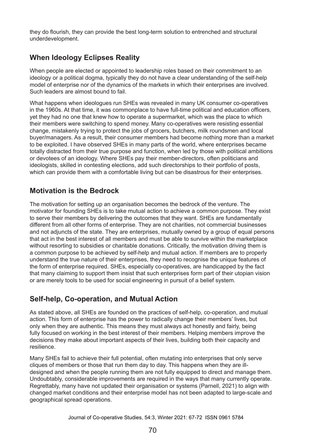they do flourish, they can provide the best long-term solution to entrenched and structural underdevelopment.

# **When Ideology Eclipses Reality**

When people are elected or appointed to leadership roles based on their commitment to an ideology or a political dogma, typically they do not have a clear understanding of the self-help model of enterprise nor of the dynamics of the markets in which their enterprises are involved. Such leaders are almost bound to fail.

What happens when ideologues run SHEs was revealed in many UK consumer co-operatives in the 1960s. At that time, it was commonplace to have full-time political and education officers, yet they had no one that knew how to operate a supermarket, which was the place to which their members were switching to spend money. Many co-operatives were resisting essential change, mistakenly trying to protect the jobs of grocers, butchers, milk roundsmen and local buyer/managers. As a result, their consumer members had become nothing more than a market to be exploited. I have observed SHEs in many parts of the world, where enterprises became totally distracted from their true purpose and function, when led by those with political ambitions or devotees of an ideology. Where SHEs pay their member-directors, often politicians and ideologists, skilled in contesting elections, add such directorships to their portfolio of posts, which can provide them with a comfortable living but can be disastrous for their enterprises.

## **Motivation is the Bedrock**

The motivation for setting up an organisation becomes the bedrock of the venture. The motivator for founding SHEs is to take mutual action to achieve a common purpose. They exist to serve their members by delivering the outcomes that they want. SHEs are fundamentally different from all other forms of enterprise. They are not charities, not commercial businesses and not adjuncts of the state. They are enterprises, mutually owned by a group of equal persons that act in the best interest of all members and must be able to survive within the marketplace without resorting to subsidies or charitable donations. Critically, the motivation driving them is a common purpose to be achieved by self-help and mutual action. If members are to properly understand the true nature of their enterprises, they need to recognise the unique features of the form of enterprise required. SHEs, especially co-operatives, are handicapped by the fact that many claiming to support them insist that such enterprises form part of their utopian vision or are merely tools to be used for social engineering in pursuit of a belief system.

# **Self-help, Co-operation, and Mutual Action**

As stated above, all SHEs are founded on the practices of self-help, co-operation, and mutual action. This form of enterprise has the power to radically change their members' lives, but only when they are authentic. This means they must always act honestly and fairly, being fully focused on working in the best interest of their members. Helping members improve the decisions they make about important aspects of their lives, building both their capacity and resilience.

Many SHEs fail to achieve their full potential, often mutating into enterprises that only serve cliques of members or those that run them day to day. This happens when they are illdesigned and when the people running them are not fully equipped to direct and manage them. Undoubtably, considerable improvements are required in the ways that many currently operate. Regrettably, many have not updated their organisation or systems (Parnell, 2021) to align with changed market conditions and their enterprise model has not been adapted to large-scale and geographical spread operations.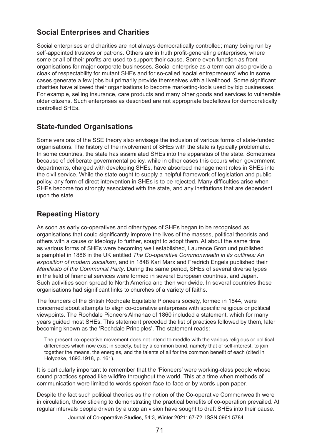## **Social Enterprises and Charities**

Social enterprises and charities are not always democratically controlled; many being run by self-appointed trustees or patrons. Others are in truth profit-generating enterprises, where some or all of their profits are used to support their cause. Some even function as front organisations for major corporate businesses. Social enterprise as a term can also provide a cloak of respectability for mutant SHEs and for so-called 'social entrepreneurs' who in some cases generate a few jobs but primarily provide themselves with a livelihood. Some significant charities have allowed their organisations to become marketing-tools used by big businesses. For example, selling insurance, care products and many other goods and services to vulnerable older citizens. Such enterprises as described are not appropriate bedfellows for democratically controlled SHEs.

#### **State-funded Organisations**

Some versions of the SSE theory also envisage the inclusion of various forms of state-funded organisations. The history of the involvement of SHEs with the state is typically problematic. In some countries, the state has assimilated SHEs into the apparatus of the state. Sometimes because of deliberate governmental policy, while in other cases this occurs when government departments, charged with developing SHEs, have absorbed management roles in SHEs into the civil service. While the state ought to supply a helpful framework of legislation and public policy, any form of direct intervention in SHEs is to be rejected. Many difficulties arise when SHEs become too strongly associated with the state, and any institutions that are dependent upon the state.

#### **Repeating History**

As soon as early co-operatives and other types of SHEs began to be recognised as organisations that could significantly improve the lives of the masses, political theorists and others with a cause or ideology to further, sought to adopt them. At about the same time as various forms of SHEs were becoming well established, Laurence Gronlund published a pamphlet in 1886 in the UK entitled *The Co-operative Commonwealth in its outlines: An exposition of modern socialism*, and in 1848 Karl Marx and Fredrich Engels published their *Manifesto of the Communist Party*. During the same period, SHEs of several diverse types in the field of financial services were formed in several European countries, and Japan. Such activities soon spread to North America and then worldwide. In several countries these organisations had significant links to churches of a variety of faiths.

The founders of the British Rochdale Equitable Pioneers society, formed in 1844, were concerned about attempts to align co-operative enterprises with specific religious or political viewpoints. The Rochdale Pioneers Almanac of 1860 included a statement, which for many years guided most SHEs. This statement preceded the list of practices followed by them, later becoming known as the 'Rochdale Principles'. The statement reads:

The present co-operative movement does not intend to meddle with the various religious or political differences which now exist in society, but by a common bond, namely that of self-interest, to join together the means, the energies, and the talents of all for the common benefit of each (cited in Holyoake, 1893.1918, p. 161).

It is particularly important to remember that the 'Pioneers' were working-class people whose sound practices spread like wildfire throughout the world. This at a time when methods of communication were limited to words spoken face-to-face or by words upon paper.

Despite the fact such political theories as the notion of the Co-operative Commonwealth were in circulation, those sticking to demonstrating the practical benefits of co-operation prevailed. At regular intervals people driven by a utopian vision have sought to draft SHEs into their cause.

Journal of Co-operative Studies, 54:3, Winter 2021: 67-72 ISSN 0961 5784